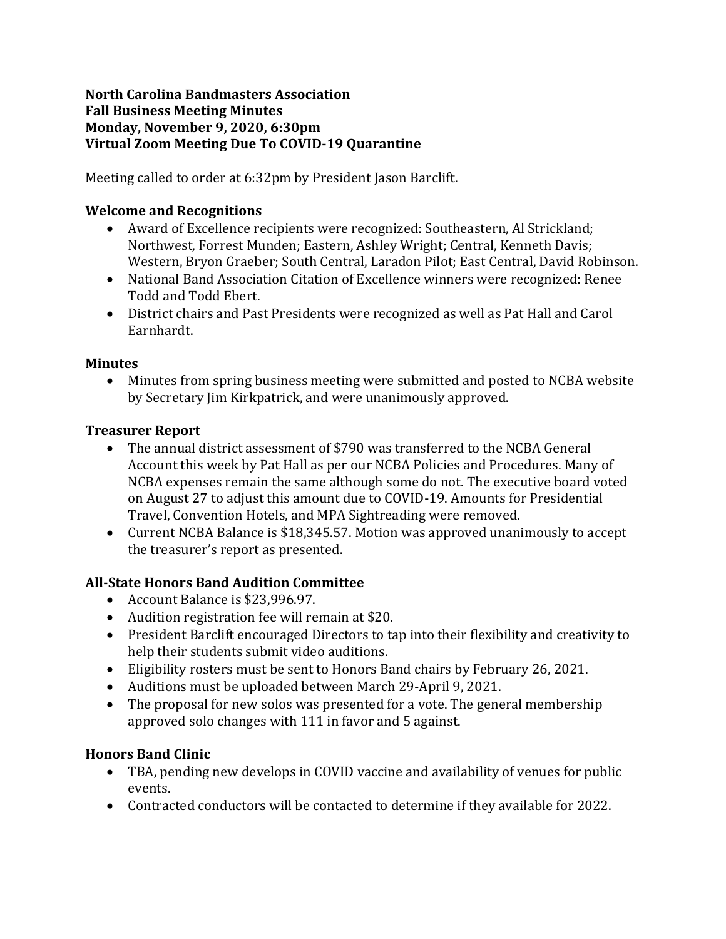#### **North Carolina Bandmasters Association Fall Business Meeting Minutes Monday, November 9, 2020, 6:30pm Virtual Zoom Meeting Due To COVID-19 Quarantine**

Meeting called to order at 6:32pm by President Jason Barclift.

# **Welcome and Recognitions**

- Award of Excellence recipients were recognized: Southeastern, Al Strickland; Northwest, Forrest Munden; Eastern, Ashley Wright; Central, Kenneth Davis; Western, Bryon Graeber; South Central, Laradon Pilot; East Central, David Robinson.
- National Band Association Citation of Excellence winners were recognized: Renee Todd and Todd Ebert.
- District chairs and Past Presidents were recognized as well as Pat Hall and Carol Earnhardt.

#### **Minutes**

• Minutes from spring business meeting were submitted and posted to NCBA website by Secretary Jim Kirkpatrick, and were unanimously approved.

## **Treasurer Report**

- The annual district assessment of \$790 was transferred to the NCBA General Account this week by Pat Hall as per our NCBA Policies and Procedures. Many of NCBA expenses remain the same although some do not. The executive board voted on August 27 to adjust this amount due to COVID-19. Amounts for Presidential Travel, Convention Hotels, and MPA Sightreading were removed.
- Current NCBA Balance is \$18,345.57. Motion was approved unanimously to accept the treasurer's report as presented.

# **All-State Honors Band Audition Committee**

- Account Balance is \$23,996.97.
- Audition registration fee will remain at \$20.
- President Barclift encouraged Directors to tap into their flexibility and creativity to help their students submit video auditions.
- Eligibility rosters must be sent to Honors Band chairs by February 26, 2021.
- Auditions must be uploaded between March 29-April 9, 2021.
- The proposal for new solos was presented for a vote. The general membership approved solo changes with 111 in favor and 5 against.

# **Honors Band Clinic**

- TBA, pending new develops in COVID vaccine and availability of venues for public events.
- Contracted conductors will be contacted to determine if they available for 2022.